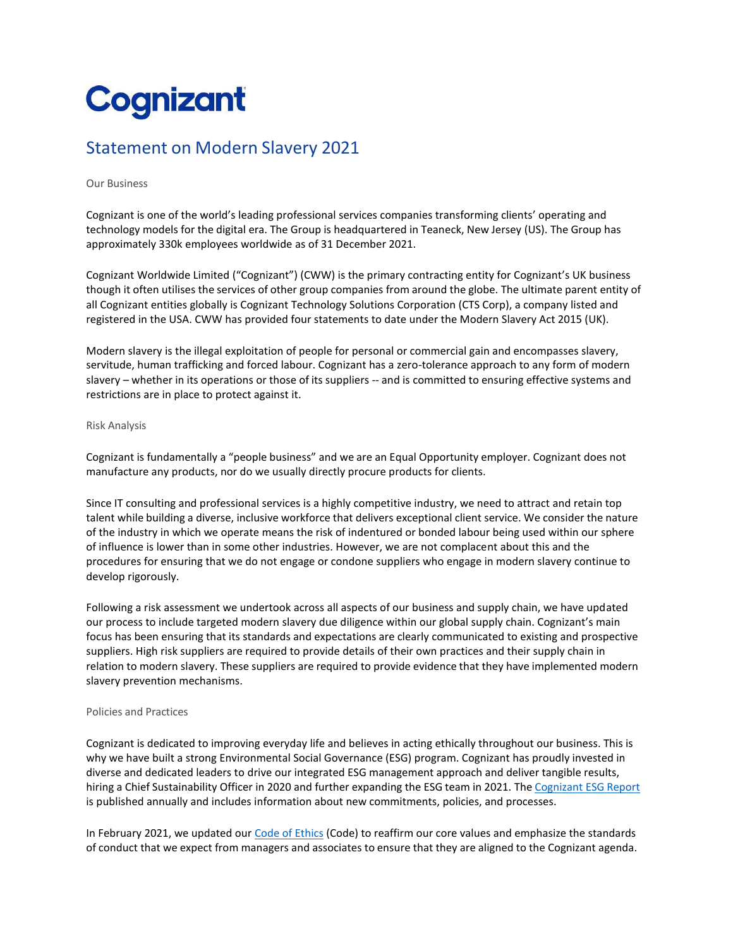# **Cognizant**

# Statement on Modern Slavery 2021

## Our Business

Cognizant is one of the world's leading professional services companies transforming clients' operating and technology models for the digital era. The Group is headquartered in Teaneck, New Jersey (US). The Group has approximately 330k employees worldwide as of 31 December 2021.

Cognizant Worldwide Limited ("Cognizant") (CWW) is the primary contracting entity for Cognizant's UK business though it often utilises the services of other group companies from around the globe. The ultimate parent entity of all Cognizant entities globally is Cognizant Technology Solutions Corporation (CTS Corp), a company listed and registered in the USA. CWW has provided four statements to date under the Modern Slavery Act 2015 (UK).

Modern slavery is the illegal exploitation of people for personal or commercial gain and encompasses slavery, servitude, human trafficking and forced labour. Cognizant has a zero-tolerance approach to any form of modern slavery – whether in its operations or those of its suppliers -- and is committed to ensuring effective systems and restrictions are in place to protect against it.

#### Risk Analysis

Cognizant is fundamentally a "people business" and we are an Equal Opportunity employer. Cognizant does not manufacture any products, nor do we usually directly procure products for clients.

Since IT consulting and professional services is a highly competitive industry, we need to attract and retain top talent while building a diverse, inclusive workforce that delivers exceptional client service. We consider the nature of the industry in which we operate means the risk of indentured or bonded labour being used within our sphere of influence is lower than in some other industries. However, we are not complacent about this and the procedures for ensuring that we do not engage or condone suppliers who engage in modern slavery continue to develop rigorously.

Following a risk assessment we undertook across all aspects of our business and supply chain, we have updated our process to include targeted modern slavery due diligence within our global supply chain. Cognizant's main focus has been ensuring that its standards and expectations are clearly communicated to existing and prospective suppliers. High risk suppliers are required to provide details of their own practices and their supply chain in relation to modern slavery. These suppliers are required to provide evidence that they have implemented modern slavery prevention mechanisms.

# Policies and Practices

Cognizant is dedicated to improving everyday life and believes in acting ethically throughout our business. This is why we have built a strong Environmental Social Governance (ESG) program. Cognizant has proudly invested in diverse and dedicated leaders to drive our integrated ESG management approach and deliver tangible results, hiring a Chief Sustainability Officer in 2020 and further expanding the ESG team in 2021. The [Cognizant](https://www.cognizant.com/us/en/about-cognizant/esg) ESG Report is published annually and includes information about new commitments, policies, and processes.

In February 2021, we updated ou[r Code of](https://www.cognizant.com/us/en/documents/code-of-ethics.pdf) Ethics (Code) to reaffirm our core values and emphasize the standards of conduct that we expect from managers and associates to ensure that they are aligned to the Cognizant agenda.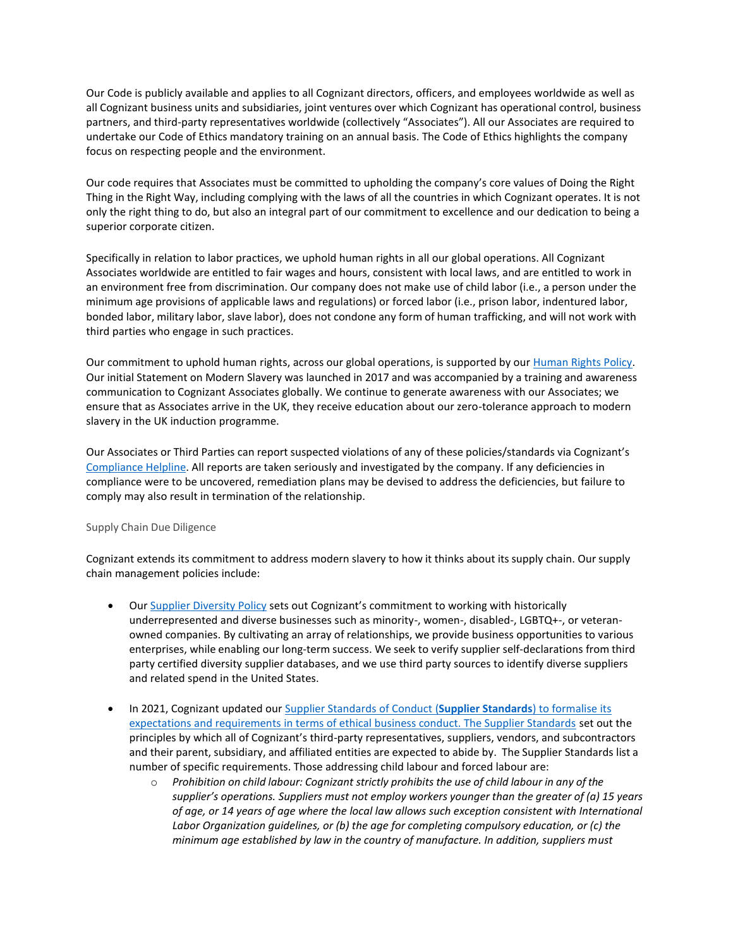Our Code is publicly available and applies to all Cognizant directors, officers, and employees worldwide as well as all Cognizant business units and subsidiaries, joint ventures over which Cognizant has operational control, business partners, and third-party representatives worldwide (collectively "Associates"). All our Associates are required to undertake our Code of Ethics mandatory training on an annual basis. The Code of Ethics highlights the company focus on respecting people and the environment.

Our code requires that Associates must be committed to upholding the company's core values of Doing the Right Thing in the Right Way, including complying with the laws of all the countries in which Cognizant operates. It is not only the right thing to do, but also an integral part of our commitment to excellence and our dedication to being a superior corporate citizen.

Specifically in relation to labor practices, we uphold human rights in all our global operations. All Cognizant Associates worldwide are entitled to fair wages and hours, consistent with local laws, and are entitled to work in an environment free from discrimination. Our company does not make use of child labor (i.e., a person under the minimum age provisions of applicable laws and regulations) or forced labor (i.e., prison labor, indentured labor, bonded labor, military labor, slave labor), does not condone any form of human trafficking, and will not work with third parties who engage in such practices.

Our commitment to uphold human rights, across our global operations, is supported by ou[r Human Rights Policy.](https://www.cognizant.com/us/en/documents/human-rights-policy.pdf) Our initial Statement on Modern Slavery was launched in 2017 and was accompanied by a training and awareness communication to Cognizant Associates globally. We continue to generate awareness with our Associates; we ensure that as Associates arrive in the UK, they receive education about our zero-tolerance approach to modern slavery in the UK induction programme.

Our Associates or Third Parties can report suspected violations of any of these policies/standards via Cognizant's [Compliance Helpline.](https://app.convercent.com/en-us/LandingPage/4d46f093-7b10-e611-80c8-000d3ab06827) All reports are taken seriously and investigated by the company. If any deficiencies in compliance were to be uncovered, remediation plans may be devised to address the deficiencies, but failure to comply may also result in termination of the relationship.

# Supply Chain Due Diligence

Cognizant extends its commitment to address modern slavery to how it thinks about its supply chain. Our supply chain management policies include:

- Ou[r Supplier Diversity Policy](https://www.cognizant.com/us/en/documents/cts-supplier-diversity-policy.pdf) sets out Cognizant's commitment to working with historically underrepresented and diverse businesses such as minority-, women-, disabled-, LGBTQ+-, or veteranowned companies. By cultivating an array of relationships, we provide business opportunities to various enterprises, while enabling our long-term success. We seek to verify supplier self-declarations from third party certified diversity supplier databases, and we use third party sources to identify diverse suppliers and related spend in the United States.
- In 2021, Cognizant updated our [Supplier Standards of Conduct](https://www.cognizant.com/us/en/documents/supplier-standards-of-conduct.pdf) (**Supplier Standards**) to formalise its expectations and requirements in terms of ethical business conduct. The Supplier Standards set out the principles by which all of Cognizant's third-party representatives, suppliers, vendors, and subcontractors and their parent, subsidiary, and affiliated entities are expected to abide by. The Supplier Standards list a number of specific requirements. Those addressing child labour and forced labour are:
	- o *Prohibition on child labour: Cognizant strictly prohibits the use of child labour in any of the supplier's operations. Suppliers must not employ workers younger than the greater of (a) 15 years of age, or 14 years of age where the local law allows such exception consistent with International Labor Organization guidelines, or (b) the age for completing compulsory education, or (c) the minimum age established by law in the country of manufacture. In addition, suppliers must*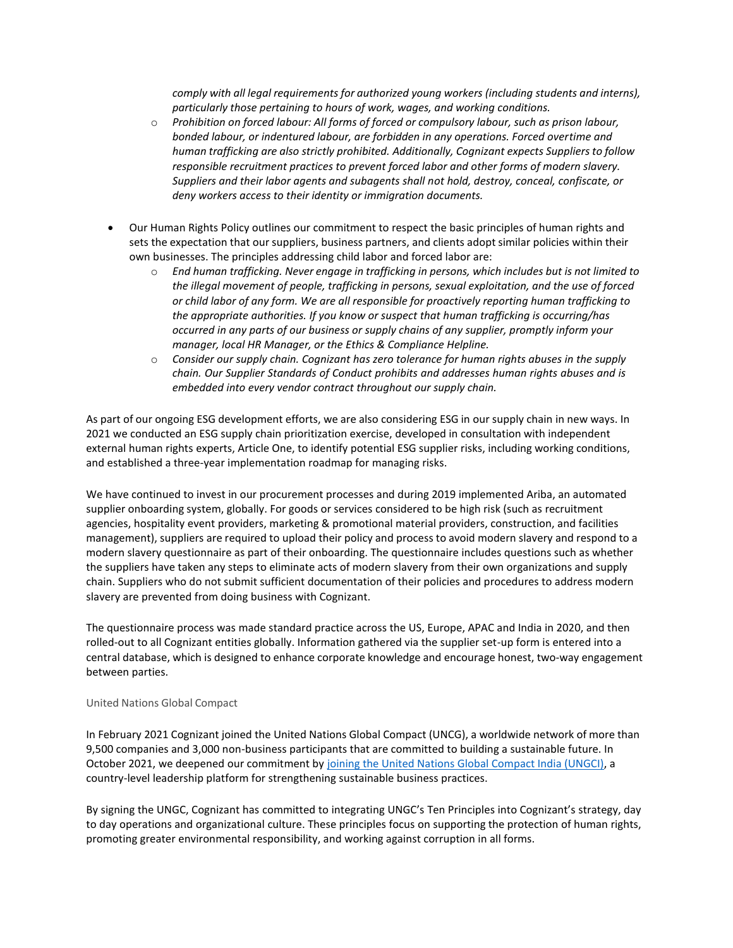*comply with all legal requirements for authorized young workers (including students and interns), particularly those pertaining to hours of work, wages, and working conditions.*

- o *Prohibition on forced labour: All forms of forced or compulsory labour, such as prison labour, bonded labour, or indentured labour, are forbidden in any operations. Forced overtime and human trafficking are also strictly prohibited. Additionally, Cognizant expects Suppliers to follow responsible recruitment practices to prevent forced labor and other forms of modern slavery. Suppliers and their labor agents and subagents shall not hold, destroy, conceal, confiscate, or deny workers access to their identity or immigration documents.*
- Our Human Rights Policy outlines our commitment to respect the basic principles of human rights and sets the expectation that our suppliers, business partners, and clients adopt similar policies within their own businesses. The principles addressing child labor and forced labor are:
	- o *End human trafficking. Never engage in trafficking in persons, which includes but is not limited to the illegal movement of people, trafficking in persons, sexual exploitation, and the use of forced or child labor of any form. We are all responsible for proactively reporting human trafficking to the appropriate authorities. If you know or suspect that human trafficking is occurring/has occurred in any parts of our business or supply chains of any supplier, promptly inform your manager, local HR Manager, or the Ethics & Compliance Helpline.*
	- o *Consider our supply chain. Cognizant has zero tolerance for human rights abuses in the supply chain. Our Supplier Standards of Conduct prohibits and addresses human rights abuses and is embedded into every vendor contract throughout our supply chain.*

As part of our ongoing ESG development efforts, we are also considering ESG in our supply chain in new ways. In 2021 we conducted an ESG supply chain prioritization exercise, developed in consultation with independent external human rights experts, Article One, to identify potential ESG supplier risks, including working conditions, and established a three-year implementation roadmap for managing risks.

We have continued to invest in our procurement processes and during 2019 implemented Ariba, an automated supplier onboarding system, globally. For goods or services considered to be high risk (such as recruitment agencies, hospitality event providers, marketing & promotional material providers, construction, and facilities management), suppliers are required to upload their policy and process to avoid modern slavery and respond to a modern slavery questionnaire as part of their onboarding. The questionnaire includes questions such as whether the suppliers have taken any steps to eliminate acts of modern slavery from their own organizations and supply chain. Suppliers who do not submit sufficient documentation of their policies and procedures to address modern slavery are prevented from doing business with Cognizant.

The questionnaire process was made standard practice across the US, Europe, APAC and India in 2020, and then rolled-out to all Cognizant entities globally. Information gathered via the supplier set-up form is entered into a central database, which is designed to enhance corporate knowledge and encourage honest, two-way engagement between parties.

## United Nations Global Compact

In February 2021 Cognizant joined the United Nations Global Compact (UNCG), a worldwide network of more than 9,500 companies and 3,000 non-business participants that are committed to building a sustainable future. In October 2021, we deepened our commitment by [joining the United Nations Global Compact India \(UNGCI\),](https://news.cognizant.com/2021-10-01-Cognizant-Joins-the-United-Nations-Global-Compact-India) a country-level leadership platform for strengthening sustainable business practices.

By signing the UNGC, Cognizant has committed to integrating UNGC's Ten Principles into Cognizant's strategy, day to day operations and organizational culture. These principles focus on supporting the protection of human rights, promoting greater environmental responsibility, and working against corruption in all forms.